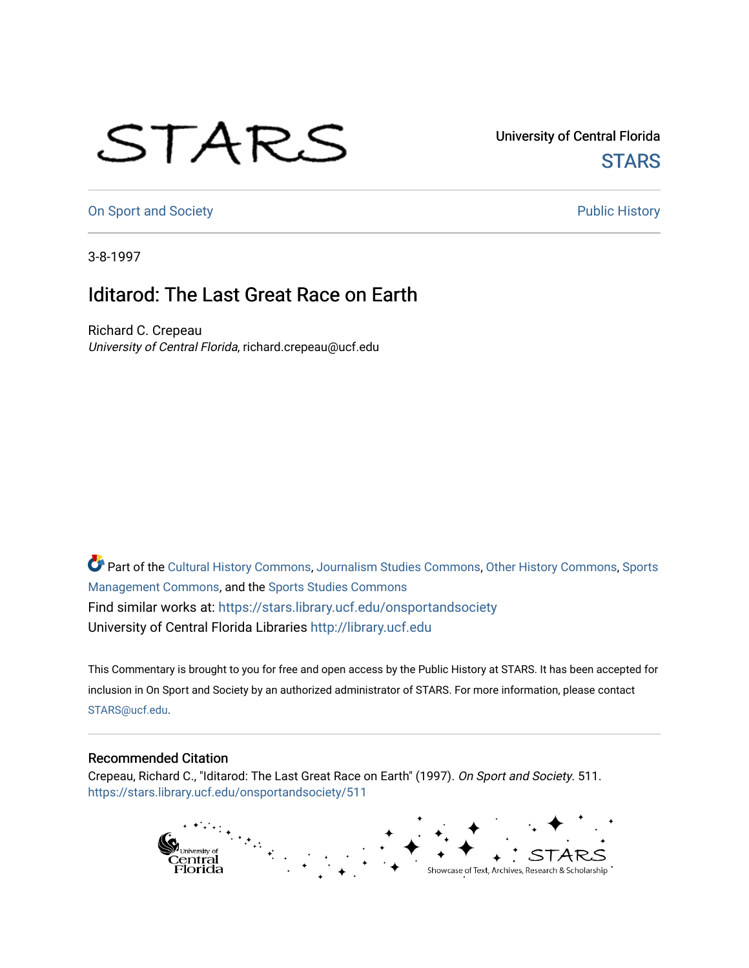## STARS

University of Central Florida **STARS** 

[On Sport and Society](https://stars.library.ucf.edu/onsportandsociety) **Public History** Public History

3-8-1997

## Iditarod: The Last Great Race on Earth

Richard C. Crepeau University of Central Florida, richard.crepeau@ucf.edu

Part of the [Cultural History Commons](http://network.bepress.com/hgg/discipline/496?utm_source=stars.library.ucf.edu%2Fonsportandsociety%2F511&utm_medium=PDF&utm_campaign=PDFCoverPages), [Journalism Studies Commons,](http://network.bepress.com/hgg/discipline/333?utm_source=stars.library.ucf.edu%2Fonsportandsociety%2F511&utm_medium=PDF&utm_campaign=PDFCoverPages) [Other History Commons,](http://network.bepress.com/hgg/discipline/508?utm_source=stars.library.ucf.edu%2Fonsportandsociety%2F511&utm_medium=PDF&utm_campaign=PDFCoverPages) [Sports](http://network.bepress.com/hgg/discipline/1193?utm_source=stars.library.ucf.edu%2Fonsportandsociety%2F511&utm_medium=PDF&utm_campaign=PDFCoverPages) [Management Commons](http://network.bepress.com/hgg/discipline/1193?utm_source=stars.library.ucf.edu%2Fonsportandsociety%2F511&utm_medium=PDF&utm_campaign=PDFCoverPages), and the [Sports Studies Commons](http://network.bepress.com/hgg/discipline/1198?utm_source=stars.library.ucf.edu%2Fonsportandsociety%2F511&utm_medium=PDF&utm_campaign=PDFCoverPages) Find similar works at: <https://stars.library.ucf.edu/onsportandsociety> University of Central Florida Libraries [http://library.ucf.edu](http://library.ucf.edu/) 

This Commentary is brought to you for free and open access by the Public History at STARS. It has been accepted for inclusion in On Sport and Society by an authorized administrator of STARS. For more information, please contact [STARS@ucf.edu](mailto:STARS@ucf.edu).

## Recommended Citation

Crepeau, Richard C., "Iditarod: The Last Great Race on Earth" (1997). On Sport and Society. 511. [https://stars.library.ucf.edu/onsportandsociety/511](https://stars.library.ucf.edu/onsportandsociety/511?utm_source=stars.library.ucf.edu%2Fonsportandsociety%2F511&utm_medium=PDF&utm_campaign=PDFCoverPages)

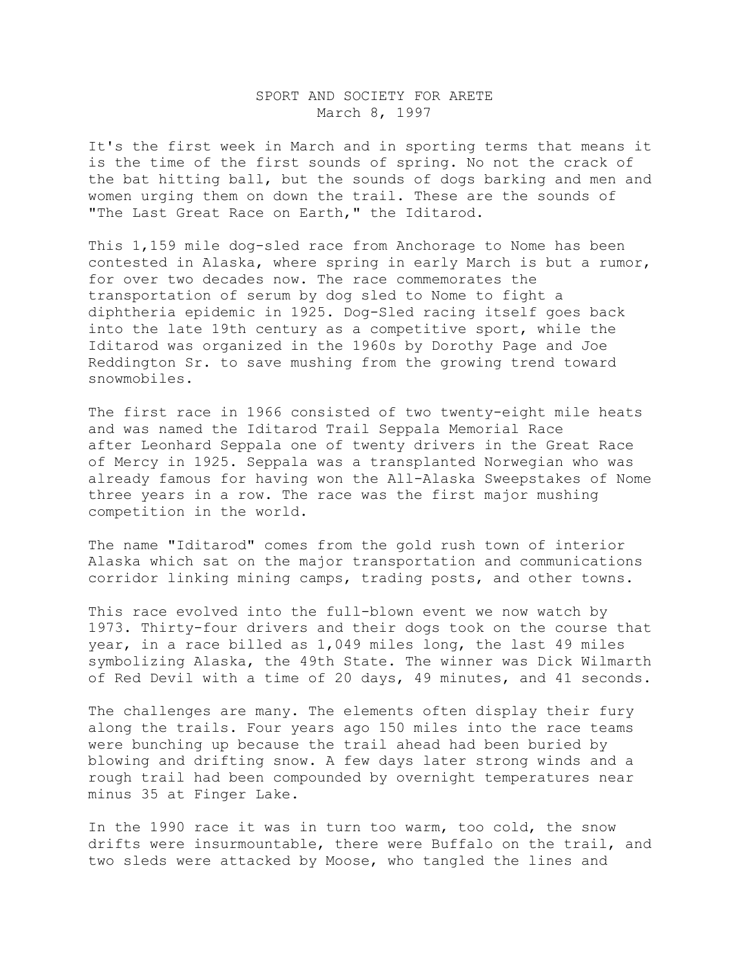## SPORT AND SOCIETY FOR ARETE March 8, 1997

It's the first week in March and in sporting terms that means it is the time of the first sounds of spring. No not the crack of the bat hitting ball, but the sounds of dogs barking and men and women urging them on down the trail. These are the sounds of "The Last Great Race on Earth," the Iditarod.

This 1,159 mile dog-sled race from Anchorage to Nome has been contested in Alaska, where spring in early March is but a rumor, for over two decades now. The race commemorates the transportation of serum by dog sled to Nome to fight a diphtheria epidemic in 1925. Dog-Sled racing itself goes back into the late 19th century as a competitive sport, while the Iditarod was organized in the 1960s by Dorothy Page and Joe Reddington Sr. to save mushing from the growing trend toward snowmobiles.

The first race in 1966 consisted of two twenty-eight mile heats and was named the Iditarod Trail Seppala Memorial Race after Leonhard Seppala one of twenty drivers in the Great Race of Mercy in 1925. Seppala was a transplanted Norwegian who was already famous for having won the All-Alaska Sweepstakes of Nome three years in a row. The race was the first major mushing competition in the world.

The name "Iditarod" comes from the gold rush town of interior Alaska which sat on the major transportation and communications corridor linking mining camps, trading posts, and other towns.

This race evolved into the full-blown event we now watch by 1973. Thirty-four drivers and their dogs took on the course that year, in a race billed as 1,049 miles long, the last 49 miles symbolizing Alaska, the 49th State. The winner was Dick Wilmarth of Red Devil with a time of 20 days, 49 minutes, and 41 seconds.

The challenges are many. The elements often display their fury along the trails. Four years ago 150 miles into the race teams were bunching up because the trail ahead had been buried by blowing and drifting snow. A few days later strong winds and a rough trail had been compounded by overnight temperatures near minus 35 at Finger Lake.

In the 1990 race it was in turn too warm, too cold, the snow drifts were insurmountable, there were Buffalo on the trail, and two sleds were attacked by Moose, who tangled the lines and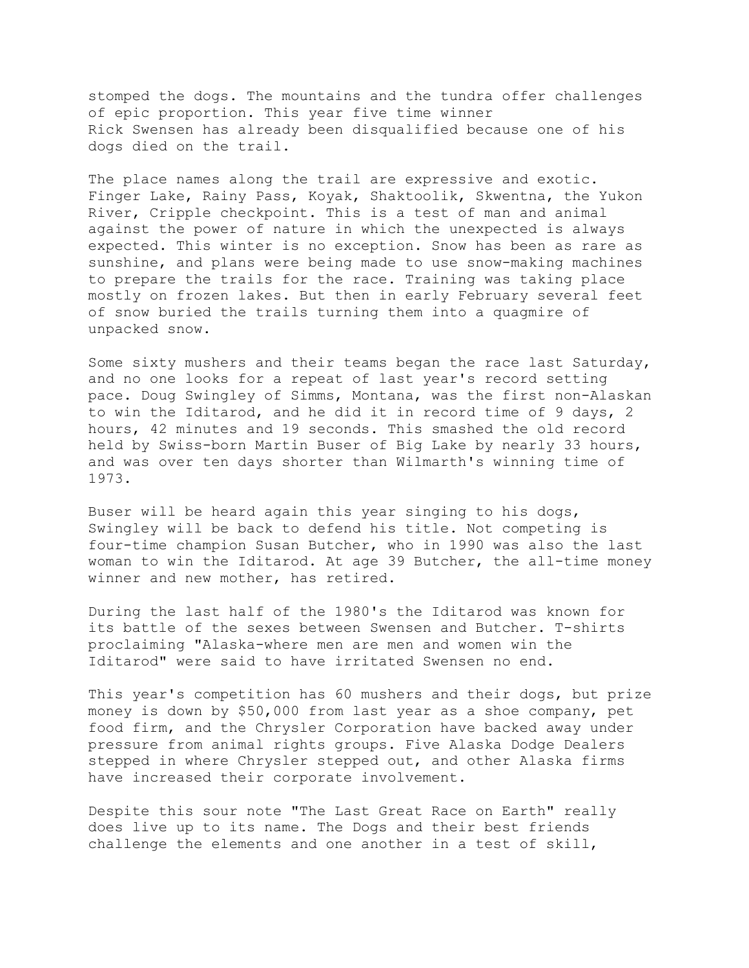stomped the dogs. The mountains and the tundra offer challenges of epic proportion. This year five time winner Rick Swensen has already been disqualified because one of his dogs died on the trail.

The place names along the trail are expressive and exotic. Finger Lake, Rainy Pass, Koyak, Shaktoolik, Skwentna, the Yukon River, Cripple checkpoint. This is a test of man and animal against the power of nature in which the unexpected is always expected. This winter is no exception. Snow has been as rare as sunshine, and plans were being made to use snow-making machines to prepare the trails for the race. Training was taking place mostly on frozen lakes. But then in early February several feet of snow buried the trails turning them into a quagmire of unpacked snow.

Some sixty mushers and their teams began the race last Saturday, and no one looks for a repeat of last year's record setting pace. Doug Swingley of Simms, Montana, was the first non-Alaskan to win the Iditarod, and he did it in record time of 9 days, 2 hours, 42 minutes and 19 seconds. This smashed the old record held by Swiss-born Martin Buser of Big Lake by nearly 33 hours, and was over ten days shorter than Wilmarth's winning time of 1973.

Buser will be heard again this year singing to his dogs, Swingley will be back to defend his title. Not competing is four-time champion Susan Butcher, who in 1990 was also the last woman to win the Iditarod. At age 39 Butcher, the all-time money winner and new mother, has retired.

During the last half of the 1980's the Iditarod was known for its battle of the sexes between Swensen and Butcher. T-shirts proclaiming "Alaska-where men are men and women win the Iditarod" were said to have irritated Swensen no end.

This year's competition has 60 mushers and their dogs, but prize money is down by \$50,000 from last year as a shoe company, pet food firm, and the Chrysler Corporation have backed away under pressure from animal rights groups. Five Alaska Dodge Dealers stepped in where Chrysler stepped out, and other Alaska firms have increased their corporate involvement.

Despite this sour note "The Last Great Race on Earth" really does live up to its name. The Dogs and their best friends challenge the elements and one another in a test of skill,